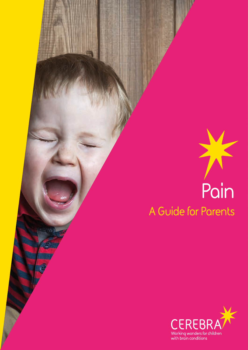

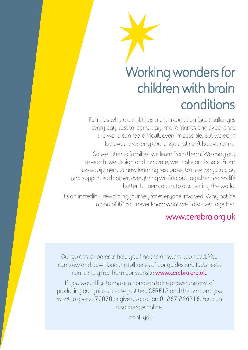## **Working wonders for children with brain conditions**

Families where a child has a brain condition face challenges every day. Just to learn, play, make friends and experience the world can feel difficult, even impossible. But we don't believe there's any challenge that can't be overcome.

So we listen to families, we learn from them. We carry out research, we design and innovate, we make and share. From new equipment to new learning resources, to new ways to play and support each other, everything we find out together makes life better, It opens doors to discovering the world.

It's an incredibly rewarding journey for everyone involved. Why not be a part of it? You never know what we'll discover together.

#### **<www.cerebra.org.uk>**

Our guides for parents help you find the answers you need. You can view and download the full series of our guides and factsheets completely free from our website **<www.cerebra.org.uk>**.

If you would like to make a donation to help cover the cost of producing our guides please just text **CERE12** and the amount you want to give to **70070** or give us a call on **01267 244216**. You can also donate online.

Thank you.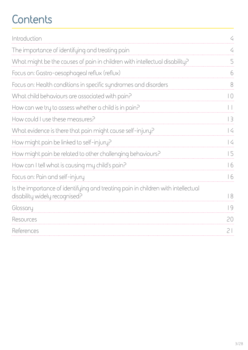## **Contents**

| Introduction                                                                                                      | $\overline{\mathcal{L}}$ |
|-------------------------------------------------------------------------------------------------------------------|--------------------------|
| The importance of identifying and treating pain                                                                   | 4                        |
| What might be the causes of pain in children with intellectual disability?                                        | 5                        |
| Focus on: Gastro-oesophageal reflux (reflux)                                                                      | 6                        |
| Focus on: Health conditions in specific syndromes and disorders                                                   | 8                        |
| What child behaviours are associated with pain?                                                                   | $\overline{\phantom{0}}$ |
| How can we try to assess whether a child is in pain?                                                              |                          |
| How could I use these measures?                                                                                   | 13                       |
| What evidence is there that pain might cause self-injury?                                                         | $\vert$ 4                |
| How might pain be linked to self-injury?                                                                          | $\vert$ 4                |
| How might pain be related to other challenging behaviours?                                                        | 15                       |
| How can I tell what is causing my child's pain?                                                                   | 16                       |
| Focus on: Pain and self-injury                                                                                    | 16                       |
| Is the importance of identifying and treating pain in children with intellectual<br>disability widely recognised? | 18                       |
| Glossary                                                                                                          | 9                        |
| Resources                                                                                                         | 20                       |
| References                                                                                                        | 21                       |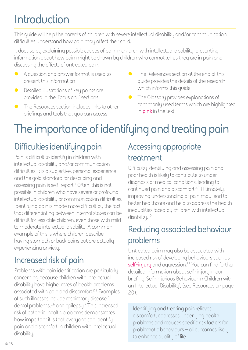## <span id="page-3-0"></span>**Introduction**

This guide will help the parents of children with severe intellectual disability and/or communication difficulties understand how pain may affect their child.

It does so by explaining possible causes of pain in children with intellectual disability, presenting information about how pain might be shown by children who cannot tell us they are in pain and discussing the effects of untreated pain.

- $\bullet$  A question and answer format is used to present this information
- $\bullet$  Detailed illustrations of key points are provided in the 'Focus on…' sections
- $\bullet$  The Resources section includes links to other briefings and tools that you can access
- The References section at the end of this guide provides the details of the research which informs this guide
- **•** The Glossary provides explanations of commonly used terms which are highlighted in **pink** in the text

## **The importance of identifying and treating pain**

### **Difficulties identifying pain**

Pain is difficult to identify in children with intellectual disability and/or communication difficulties. It is a subjective, personal experience and the gold standard for describing and assessing pain is self-report.<sup>1</sup> Often, this is not possible in children who have severe or profound intellectual disability or communication difficulties. Identifying pain is made more difficult by the fact that differentiating between internal states can be difficult for less able children, even those with mild to moderate intellectual disability. A common example of this is where children describe having stomach or back pains but are actually experiencing anxiety.

### **Increased risk of pain**

Problems with pain identification are particularly concerning because children with intellectual disability have higher rates of health problems associated with pain and discomfort.<sup>2,3</sup> Examples of such illnesses include respiratory disease,<sup>4</sup> dental problems,5,6 and epilepsy.7 This increased risk of potential health problems demonstrates how important it is that everyone can identify pain and discomfort in children with intellectual disability.

### **Accessing appropriate treatment**

Difficulty identifying and assessing pain and poor health is likely to contribute to underdiagnosis of medical conditions, leading to continued pain and discomfort.<sup>8,9</sup> Ultimately, improving understanding of pain may lead to better healthcare and help to address the health inequalities faced by children with intellectual disability.<sup>10</sup>

#### **Reducing associated behaviour problems**

Untreated pain may also be associated with increased risk of developing behaviours such as **self-injury** and aggression.11 You can find further detailed information about self-injury in our briefing 'Self-injurious Behaviour in Children with an Intellectual Disability', (see Resources on page 20).

Identifying and treating pain relieves discomfort, addresses underlying health problems and reduces specific risk factors for problematic behaviours – all outcomes likely to enhance quality of life.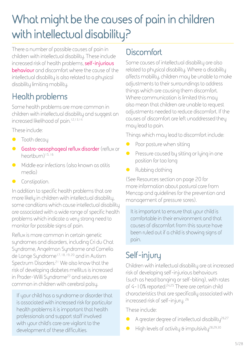## <span id="page-4-0"></span>**What might be the causes of pain in children with intellectual disability?**

There a number of possible causes of pain in children with intellectual disability. These include increased risk of health problems, **self-injurious behaviour** and discomfort where the cause of the intellectual disability is also related to a physical disability limiting mobility.

### **Health problems**

Some health problems are more common in children with intellectual disability and suggest an increased likelihood of pain.<sup>12,13,14</sup>

These include:

- $\bullet$  Tooth decay
- **Gastro-oesophageal reflux disorder** (reflux or heartburn)15, 16
- **•** Middle ear infections (also known as otitis media)
- **Constipation.**

In addition to specific health problems that are more likely in children with intellectual disability, some conditions which cause intellectual disability are associated with a wide range of specific health problems which indicate a very strong need to monitor for possible signs of pain.

Reflux is more common in certain genetic syndromes and disorders, including Cri du Chat Syndrome, Angelman Syndrome and Cornelia de Lange Syndrome<sup>17, 18, 19, 20</sup> and in Autism Spectrum Disorders.21 We also know that the risk of developing diabetes mellitus is increased in Prader-Willi Syndrome<sup>22</sup> and seizures are common in children with cerebral palsy.

If your child has a syndrome or disorder that is associated with increased risk for particular health problems it is important that health professionals and support staff involved with your child's care are vigilant to the development of these difficulties.

#### **Discomfort**

Some causes of intellectual disability are also related to physical disability. Where a disability affects mobility, children may be unable to make adjustments to their surroundings to address things which are causing them discomfort. Where communication is limited this may also mean that children are unable to request adjustments needed to reduce discomfort. If the causes of discomfort are left unaddressed they may lead to pain.

Things which may lead to discomfort include:

- $\bullet$  Poor posture when sitting
- **Pressure caused by sitting or lying in one** position for too long
- Rubbing clothing

(See Resources section on page 20 for more information about postural care from Mencap and guidelines for the prevention and management of pressure sores).

It is important to ensure that your child is comfortable in their environment and that causes of discomfort from this source have been ruled out if a child is showing signs of pain.

### **Self-injury**

Children with intellectual disability are at increased risk of developing self-injurious behaviours (such as head banging or self-biting), with rates of 4-10% reported.<sup>24,25</sup> There are certain child characteristics that are specifically associated with increased risk of self-injury. 26

These include:

- $\bullet$  A greater degree of intellectual disability<sup>26,27</sup>
- $\bullet$  High levels of activity & impulsivity<sup>28,29,30</sup>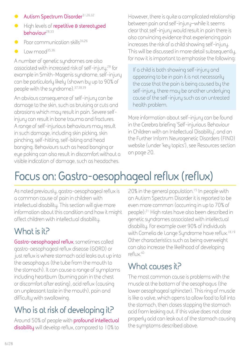- <span id="page-5-0"></span>**Autism Spectrum Disorder**31,26,32
- **•** High levels of repetitive & stereotyped **behaviour**28,33
- $\bullet$  Poor communication skills $34,26$
- $Low mood<sup>35,36</sup>$

A number of genetic syndromes are also associated with increased risk of self-injury,<sup>28</sup> for example in Smith-Magenis syndrome, self-injury can be particularly likely (shown by up to 90% of people with the syndrome).37,38,39

An obvious consequence of self-injury can be damage to the skin, such as bruising or cuts and abrasions which may result in pain. Severe selfinjury can result in bone trauma and fractures. A range of self-injurious behaviours may result in such damage, including skin picking, skin pinching, self-hitting, self-biting and head banging. Behaviours such as head banging or eye poking can also result in discomfort without a visible indication of damage, such as headaches.

However, there is quite a complicated relationship between pain and self-injury–while it seems clear that self-injury would result in pain there is also convincing evidence that experiencing pain increases the risk of a child showing self-injury. This will be discussed in more detail subsequently, for now it is important to emphasise the following:

If a child is both showing self-injury and appearing to be in pain it is not necessarily the case that the pain is being caused by the self-injury, there may be another underlying cause of the self-injury such as an untreated health problem.

More information about self-injury can be found in the Cerebra briefing 'Self-injurious Behaviour in Children with an Intellectual Disability', and on the Further Inform Neurogenetic Disorders (FIND) website (under 'key topics'), see Resources section on page 20.

## **Focus on: Gastro-oesophageal reflux (reflux)**

As noted previously, gastro-oesophageal reflux is a common cause of pain in children with intellectual disability. This section will give more information about this condition and how it might affect children with intellectual disability.

#### **What is it?**

**Gastro-oesophageal reflux**, sometimes called gastro-oesophageal reflux disease (GORD) or just reflux is where stomach acid leaks out up into the oesophagus (the tube from the mouth to the stomach). It can cause a range of symptoms including heartburn (burning pain in the chest or discomfort after eating), acid reflux (causing an unpleasant taste in the mouth), pain and difficulty with swallowing.

### **Who is at risk of developing it?**

Around 50% of people with **profound intellectual disability** will develop reflux, compared to 10% to

20% in the general population.<sup>15</sup> In people with an Autism Spectrum Disorder it is reported to be even more common (occurring in up to 70% of people).21 High rates have also been described in genetic syndromes associated with intellectual disability. For example over 90% of individuals with Cornelia de Lange Syndrome have reflux.<sup>18,19</sup> Other characteristics such as being overweight can also increase the likelihood of developing reflux.40

#### **What causes it?**

The most common cause is problems with the muscle at the bottom of the oesophagus (the lower oesophageal sphincter). This ring of muscle is like a valve, which opens to allow food to fall into the stomach, then closes stopping the stomach acid from leaking out. If this valve does not close properly acid can leak out of the stomach causing the symptoms described above.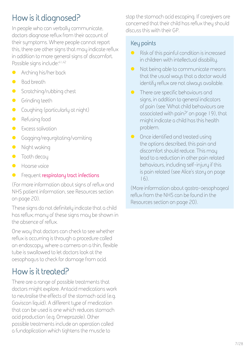### **How is it diagnosed?**

In people who can verbally communicate, doctors diagnose reflux from their account of their symptoms. Where people cannot report this, there are other signs that may indicate reflux in addition to more general signs of discomfort. Possible signs include:<sup>41,42</sup>

- $\bullet$  Arching his/her back
- **Bad breath**
- $\bullet$  Scratching/rubbing chest
- **•** Grinding teeth
- $\bullet$  Coughing (particularly at night)
- **•** Refusing food
- **•** Excess salivation
- **•** Gagging/regurgitating/vomiting
- Night waking
- $\bullet$  Tooth decay
- $Hoarse voice$
- **•** Frequent **respiratory tract infections**

(For more information about signs of reflux and NHS patient information, see Resources section on page 20).

These signs do not definitely indicate that a child has reflux; many of these signs may be shown in the absence of reflux.

One way that doctors can check to see whether reflux is occurring is through a procedure called an endoscopy, where a camera on a thin, flexible tube is swallowed to let doctors look at the oesophagus to check for damage from acid.

### **How is it treated?**

There are a range of possible treatments that doctors might explore. Antacid medications work to neutralise the effects of the stomach acid (e.g. Gaviscon liquid). A different type of medication that can be used is one which reduces stomach acid production (e.g. Omeprazole). Other possible treatments include an operation called a fundoplication which tightens the muscle to

stop the stomach acid escaping. If caregivers are concerned that their child has reflux they should discuss this with their GP.

#### **Key points**

- $\bullet$  Risk of this painful condition is increased in children with intellectual disability.
- $\bullet$  Not being able to communicate means that the usual ways that a doctor would identify reflux are not always available.
- $\bullet$  There are specific behaviours and signs, in addition to general indicators of pain (see 'What child behaviours are associated with pain?' on page 19), that might indicate a child has this health problem.
- $\bullet$  Once identified and treated using the options described, this pain and discomfort should reduce. This may lead to a reduction in other pain related behaviours, including self-injury if this is pain related (see Alice's story on page 16).

(More information about gastro-oesophageal reflux from the NHS can be found in the Resources section on page 20).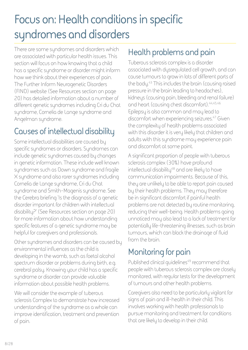## <span id="page-7-0"></span>**Focus on: Health conditions in specific syndromes and disorders**

There are some syndromes and disorders which are associated with particular health issues. This section will focus on how knowing that a child has a specific syndrome or disorder might inform how we think about their experiences of pain. The Further Inform Neurogenetic Disorders (FIND) website (See Resources section on page 20) has detailed information about a number of different genetic syndromes including Cri du Chat syndrome, Cornelia de Lange syndrome and Angelman syndrome.

### **Causes of intellectual disability**

Some intellectual disabilities are caused by specific syndromes or disorders. Syndromes can include genetic syndromes caused by changes in genetic information. These include well known syndromes such as Down syndrome and fragile X syndrome and also rarer syndromes including Cornelia de Lange syndrome, Cri du Chat syndrome and Smith-Magenis syndrome. See the Cerebra briefing 'Is the diagnosis of a genetic disorder important for children with intellectual disability?' (See Resources section on page 20) for more information about how understanding specific features of a genetic syndrome may be helpful for caregivers and professionals.

Other syndromes and disorders can be caused by environmental influences as the child is developing in the womb, such as foetal alcohol spectrum disorder or problems during birth, e.g. cerebral palsy. Knowing your child has a specific syndrome or disorder can provide valuable information about possible health problems.

We will consider the example of tuberous sclerosis Complex to demonstrate how increased understanding of the syndrome as a whole can improve identification, treatment and prevention of pain.

#### **Health problems and pain**

Tuberous sclerosis complex is a disorder associated with dysregulated cell growth, and can cause tumours to grow in lots of different parts of the body.43 This includes the brain (causing raised pressure in the brain leading to headaches), kidneys (causing pain, bleeding and renal failure) and heart (causing chest discomfort).<sup>44,45,46</sup> Epilepsy is also common and may lead to discomfort when experiencing seizures.47 Given the complexity of health problems associated with this disorder it is very likely that children and adults with this syndrome may experience pain and discomfort at some point.

A significant proportion of people with tuberous sclerosis complex (30%) have profound intellectual disability<sup>48</sup> and are likely to have communication impairments. Because of this, they are unlikely to be able to report pain caused by their health problems. They may therefore be in significant discomfort if painful health problems are not detected by routine monitoring, reducing their well-being. Health problems going unnoticed may also lead to a lack of treatment for potentially life-threatening illnesses, such as brain tumours, which can block the drainage of fluid from the brain.

### **Monitoring for pain**

Published clinical guidelines<sup>49</sup> recommend that people with tuberous sclerosis complex are closely monitored, with regular tests for the development of tumours and other health problems.

Caregivers also need to be particularly vigilant for signs of pain and ill-health in their child. This involves working with health professionals to pursue monitoring and treatment for conditions that are likely to develop in their child.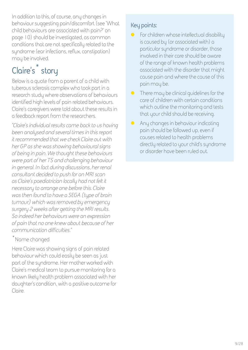In addition to this, of course, any changes in behaviour suggesting pain/discomfort (see 'What child behaviours are associated with pain?' on page 10) should be investigated, as common conditions that are not specifically related to the syndrome (ear infections, reflux, constipation) may be involved.

### **Claire's\* story**

Below is a quote from a parent of a child with tuberous sclerosis complex who took part in a research study where observations of behaviours identified high levels of pain related behaviours. Claire's caregivers were told about these results in a feedback report from the researchers.

*"Claire's individual results came back to us having been analysed and several times in this report it recommended that we check Claire out with her GP as she was showing behavioural signs of being in pain. We thought these behaviours were part of her TS and challenging behaviour in general. In fact during discussions, her renal consultant decided to push for an MRI scan*  as Claire's paediatrician locally had not felt it *necessary to arrange one before this. Claire was then found to have a SEGA [type of brain tumour] which was removed by emergency surgery 2 weeks after getting the MRI results. So indeed her behaviours were an expression of pain that no one knew about because of her communication difficulties."*

#### \*Name changed

Here Claire was showing signs of pain related behaviour which could easily be seen as just part of the syndrome. Her mother worked with Claire's medical team to pursue monitoring for a known likely health problem associated with her daughter's condition, with a positive outcome for Claire.

#### **Key points:**

- $\bullet$  For children whose intellectual disability is caused by (or associated with) a particular syndrome or disorder, those involved in their care should be aware of the range of known health problems associated with the disorder that might cause pain and where the cause of this pain may be.
- $\bullet$  There may be clinical quidelines for the care of children with certain conditions which outline the monitoring and tests that your child should be receiving.
- $\bullet$  Any changes in behaviour indicating pain should be followed up, even if causes related to health problems directly related to your child's syndrome or disorder have been ruled out.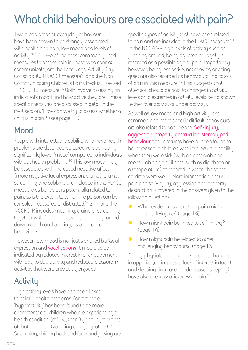## <span id="page-9-0"></span>**What child behaviours are associated with pain?**

Two broad areas of everyday behaviour have been shown to be strongly associated with health and pain; low mood and levels of activity.50,51,52 Two of the most commonly used measures to assess pain in those who cannot communicate, are the Face, Legs, Activity, Cry, Consolability (FLACC) measure53 and the Non-Communicating Children's Pain Checklist-Revised (NCCPC-R) measure.54 Both involve assessing an individual's mood and how active they are. These specific measures are discussed in detail in the next section, 'How can we try to assess whether a child is in pain?' (see page 11).

#### **Mood**

People with intellectual disability who have health problems are described by caregivers as having significantly lower 'mood' compared to individuals without health problems.<sup>50</sup> This low mood may be associated with increased negative affect (more negative facial expression, crying). Crying, screaming and sobbing are included in the FLACC measure as behaviours potentially related to pain, as is the extent to which the person can be consoled, reassured or distracted.53 Similarly the NCCPC-R includes moaning, crying or screaming together with facial expressions, including turned down mouth and pouting, as pain related behaviours.

However, low mood is not just signalled by facial expression and **vocalisations**; it may also be indicated by reduced interest in or engagement with day to day activity and reduced pleasure in activities that were previously enjoyed.

### **Activity**

High activity levels have also been linked to painful health problems. For example 'hyperactivity' has been found to be more characteristic of children who are experiencing a health condition (reflux), than 'typical' symptoms of that condition (vomiting or regurgitation).<sup>19</sup> Squirming, shifting back and forth and jerking are specific types of activity that have been related to pain and are included in the FLACC measure.<sup>53</sup> In the NCCPC-R high levels of activity such as jumping around, being agitated or fidgety is recorded as a possible sign of pain. Importantly however, being less active, not moving or being quiet are also recorded as behavioural indicators of pain in this measure.54 This suggests that attention should be paid to changes in activity levels or to extremes in activity levels being shown (either over activity or under activity).

As well as low mood and high activity, less common and more specific difficult behaviours are also related to poor health. **Self-injury**, **aggression**, **property destruction**, **stereotyped behaviour** and tantrums have all been found to be increased in children with intellectual disability when they were sick (with an observable or measurable sign of illness, such as diarrhoea or a temperature) compared to when the same children were well.55 More information about pain and self-injury, aggression and property destruction is covered in the answers given to the following questions:

- What evidence is there that pain might cause self-injury? (page 14)
- $\bullet$  How might pain be linked to self-injury?  $(page | 4)$
- $\bullet$  How might pain be related to other challenging behaviours? (page 15)

Finally, physiological changes such as changes in appetite (eating less or lack of interest in food) and sleeping (increased or decreased sleeping) have also been associated with pain.<sup>56</sup>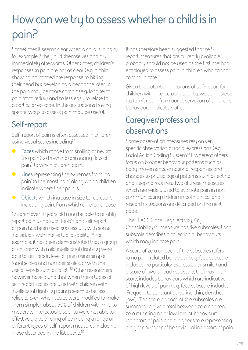## <span id="page-10-0"></span>**How can we try to assess whether a child is in pain?**

Sometimes it seems clear when a child is in pain, for example if they hurt themselves and cry immediately afterwards. Other times, children's responses to pain are not as clear (e.g. a child showing no immediate response to hitting their head but developing a headache later) or the pain may be more chronic (e.g. long term pain from reflux) and so less easy to relate to a particular episode. In these situations having specific ways to assess pain may be useful.

### **Self-report**

Self-report of pain is often assessed in children using visual scales including<sup>57</sup>

- **•** Faces which range from smiling or neutral (no pain) to frowning/grimacing (lots of pain) to which children point.
- **C** Lines representing the extremes from 'no pain' to the 'most pain' along which children indicate where their pain is.
- **O** Objects which increase in size to represent increasing pain, from which children choose.

Children over 3 years old may be able to reliably report pain using such tools<sup>57</sup> and self report of pain has been used successfully with some individuals with intellectual disability.58 For example, it has been demonstrated that a group of children with mild intellectual disability were able to self-report level of pain using simple facial scales and number scales, or with the use of words such as 'a lot'.52 Other researchers however have found that when these types of self-report scales are used with children with intellectual disability ratings seem to be less reliable. Even when scales were modified to make them simpler, about 50% of children with mild to moderate intellectual disability were not able to effectively give a rating of pain using a range of different types of self-report measures, including those described in the list above.59

It has therefore been suggested that selfreport measures that are currently available probably should not be used as the first method employed to assess pain in children who cannot communicate.60

Given the potential limitations of self-report for children with intellectual disability, we can instead try to infer pain from our observation of children's behavioural indicators of pain.

#### **Caregiver/professional observations**

Some observation measures rely on very specific observation of facial expressions (e.g. Facial Action Coding System<sup>61</sup>), whereas others focus on broader behaviour patterns such as body movements, emotional responses and changes to physiological patterns such as eating and sleeping routines. Two of these measures which are widely used to evaluate pain in noncommunicating children in both clinical and research situations are described on the next page.

The FLACC (Face, Legs, Activity, Cry, Consolability)<sup>53</sup> measure has five subscales. Each subscale describes a collection of behaviours which may indicate pain.

A score of zero on each of the subscales refers to no pain-related behaviour (e.g. face subscale includes 'no particular expression or smile') and a score of two on each subscale, the maximum score, includes behaviours which are indicative of high levels of pain (e.g. face subscale includes 'Frequent to constant quivering chin, clenched jaw'). The score on each of the subscales are summed to give a total between zero and ten, zero reflecting no or low level of behavioural indicators of pain and a higher score representing a higher number of behavioural indicators of pain.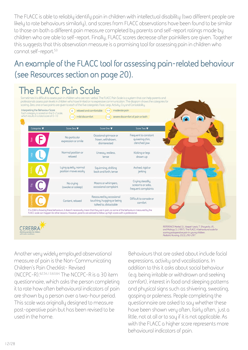The FLACC is able to reliably identify pain in children with intellectual disability (two different people are likely to rate behaviours similarly), and scores from FLACC observations have been found to be similar to those on both a different pain measure completed by parents and self-report ratings made by children who are able to self-report. Finally, FLACC scores decrease after painkillers are given. Together this suggests that this observation measure is a promising tool for assessing pain in children who cannot self-report.53

#### **An example of the FLACC tool for assessing pain-related behaviour (see Resources section on page 20).**

### **The FLACC Pain Scale**

Sometimes it is difficult to assess pain in children who are non-verbal. The FLACC Pain Scale is a system that can help parents and professionals assess pain levels in children who have limited or no expressive communication. The diagram shows the categories for scoring. Zero, one or two points are given to each of the five categories: Face, Legs, Activity, Cry and Consolability.

| Categories <b>V</b> | Score Zero <b>V</b>                            | Score One                                                                                                                                                                                                                                                    | Score Two $\nabla$                                          |  |
|---------------------|------------------------------------------------|--------------------------------------------------------------------------------------------------------------------------------------------------------------------------------------------------------------------------------------------------------------|-------------------------------------------------------------|--|
|                     | No particular<br>expression or smile           | Ocasional grimace or<br>frown, withdrawn,<br>disinterested                                                                                                                                                                                                   | Frequent to constant<br>quivering chin,<br>clenched jaw     |  |
| legs                | Normal position or<br>reloxed                  | Uneasy, restless,<br>tense                                                                                                                                                                                                                                   | Kicking or legs<br>drawn up                                 |  |
|                     | Lying quietly, normal<br>position moves easily | Squirming, shifting<br>back and forth, tense                                                                                                                                                                                                                 | Arched, rigid or<br>jerking                                 |  |
| පි                  | No crying<br>(awake or asleep)                 | Moans or whimpers,<br>occasional complaint                                                                                                                                                                                                                   | Crying steadily,<br>screams or sobs.<br>frequent complaints |  |
| solobility          | Content, relaxed                               | Reassured by occasional<br>touching, hugging or being<br>talked to, distactable                                                                                                                                                                              | Difficult to console or<br>comfort                          |  |
|                     |                                                | If a child is showing these behaviours, it doesn't necessarily mean that they are in pain, as some of the behaviours measured by the<br>FLACC scale can happen for other reasons. However, parents are advised to follow up high scores with a professional. |                                                             |  |

**scoring postoperative pain in young children.** *Pediatric Nursing, 23(3), 293-297.*

Another very widely employed observational measure of pain is the Non-Communicating Children's Pain Checklist- Revised (NCCPC-R).62,54,13,63,64 The NCCPC-R is a 30 item questionnaire, which asks the person completing it to rate how often behavioural indicators of pain are shown by a person over a two-hour period. This scale was originally designed to measure post-operative pain but has been revised to be used in the home.

Behaviours that are asked about include facial expressions, activity and vocalisations. In addition to this it asks about social behaviour (e.g. being irritable or withdrawn and seeking comfort), interest in food and sleeping patterns and physical signs such as shivering, sweating, gasping or paleness. People completing the questionnaire are asked to say whether these have been shown very often, fairly often, just a little, not at all or to say if it is not applicable. As with the FLACC a higher score represents more behavioural indicators of pain.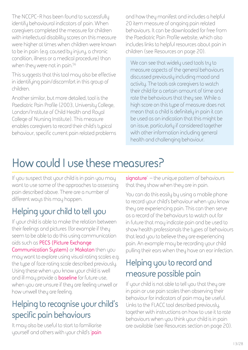<span id="page-12-0"></span>The NCCPC-R has been found to successfully identify behavioural indicators of pain. When caregivers completed the measure for children with intellectual disability scores on this measure were higher at times when children were known to be in pain (e.g. caused by injury, a chronic condition, illness or a medical procedure) than when they were not in pain.56

This suggests that this tool may also be effective in identifying pain/discomfort in this group of children.

Another similar, but more detailed, tool is the Paediatric Pain Profile (2003, University College, London/Institute of Child Health and Royal College of Nursing Institute). This measure enables caregivers to record their child's typical behaviour, specific current pain related problems and how they manifest and includes a helpful 20 item measure of ongoing pain related behaviours. It can be downloaded for free from the Paediatric Pain Profile website, which also includes links to helpful resources about pain in children (see Resources on page 20).

We can see that widely used tools try to measure aspects of the general behaviours discussed previously including mood and activity. The tools ask caregivers to watch their child for a certain amount of time and rate the behaviours that they see. While a high score on this type of measure does not mean that a child is definitely in pain it can be used as an indication that this might be an issue, particularly if considered together with other information including general health and challenging behaviour.

### **How could I use these measures?**

If you suspect that your child is in pain you may want to use some of the approaches to assessing pain described above. There are a number of different ways this may happen.

#### **Helping your child to tell you**

If your child is able to make the relation between their feelings and pictures (for example if they seem to be able to do this using communication aids such as **PECS (Picture Exchange Communication System)** or **Makaton** then you may want to explore using visual rating scales e.g. the type of face rating scale described previously. Using these when you know your child is well and ill may provide a **baseline** for future use, when you are unsure if they are feeling unwell or how unwell they are feeling.

#### **Helping to recognise your child's specific pain behaviours**

It may also be useful to start to familiarise yourself and others with your child's '**pain**  **signature**' – the unique pattern of behaviours that they show when they are in pain.

You can do this easily by using a mobile phone to record your child's behaviour when you know they are experiencing pain. This can then serve as a record of the behaviours to watch out for in future that may indicate pain and be used to show health professionals the types of behaviours that lead you to believe they are experiencing pain. An example may be recording your child pulling their ears when they have an ear infection.

#### **Helping you to record and measure possible pain**

If your child is not able to tell you that they are in pain or use pain scales then observing their behaviour for indicators of pain may be useful. Links to the FLACC tool described previously, together with instructions on how to use it to rate behaviours when you think your child is in pain are available (see Resources section on page 20).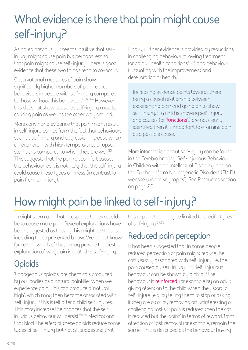## <span id="page-13-0"></span>**What evidence is there that pain might cause self-injury?**

As noted previously, it seems intuitive that selfinjury might cause pain but perhaps less so that pain might cause self-injury. There is good evidence that these two things tend to co-occur.

Observational measures of pain show significantly higher numbers of pain related behaviours in people with self-injury compared to those without this behaviour.<sup>13,63,64</sup> However this does not show cause, as self-injury may be causing pain as well as the other way around.

More convincing evidence that pain might result in self-injury comes from the fact that behaviours such as self-injury and aggression increase when children are ill with high temperatures or upset stomachs compared to when they are well.<sup>55</sup> This suggests that the pain/discomfort caused the behaviour, as it is not likely that the self-injury could cause these types of illness (in contrast to pain from an injury).

Finally, further evidence is provided by reductions in challenging behaviour following treatment for painful health conditions<sup>12,11</sup> and behaviour fluctuating with the improvement and deterioration of health.<sup>13</sup>

Increasing evidence points towards there being a causal relationship between experiencing pain and going on to show self-injury. If a child is showing self-injury and causes (or '**functions**',) are not clearly identified then it is important to examine pain as a possible cause.

More information about self-injury can be found in the Cerebra briefing 'Self-injurious Behaviour in Children with an Intellectual Disability' and on the Further Inform Neurogenetic Disorders (FIND) website (under 'key topics'). See Resources section on page 20.

## **How might pain be linked to self-injury?**

It might seem odd that a response to pain could be to cause more pain. Several explanations have been suggested as to why this might be the case, including those presented below. We do not know for certain which of these may provide the best explanation of why pain is related to self-injury.

### **Opioids**

'Endogenous opioids' are chemicals produced by our bodies as a natural painkiller when we experience pain. This can produce a 'naturalhigh', which may then become associated with self-injury if this is felt after a child self-injures. This may increase the chances that the selfinjurious behaviour will persist.<sup>65,66</sup> Medications that block the effect of these opioids reduce some types of self-injury but not all, suggesting that

this explanation may be limited to specific types of self-injury.67,68

#### **Reduced pain perception**

It has been suggested that in some people reduced perception of pain might reduce the cost usually associated with self-injury, i.e. the pain caused by self-injury.65,66 Self-injurious behaviour can be shown by a child if the behaviour is **reinforced**, for example by an adult giving attention to the child when they start to self-injure (e.g. by telling them to stop or asking if they are ok or by removing an uninteresting or challenging task). If pain is reduced then the cost is reduced but the 'gains' in terms of reward, from attention or task removal for example, remain the same. This is described as the behaviour having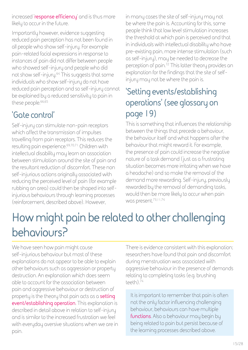<span id="page-14-0"></span>increased '**response efficiency**' and is thus more likely to occur in the future.

Importantly however, evidence suggesting reduced pain perception has not been found in all people who show self-injury. For example pain-related facial expressions in response to instances of pain did not differ between people who showed self-injury and people who did not show self-injury.64 This suggests that some individuals who show self-injury do not have reduced pain perception and so self-injury cannot be explained by a reduced sensitivity to pain in these people.<sup>66,65</sup>

#### **'Gate control'**

Self-injury can stimulate non-pain receptors which affect the transmission of impulses travelling from pain receptors. This reduces the resulting pain experience.69,70,71 Children with intellectual disability may learn an association between stimulation around the site of pain and the resultant reduction of discomfort. These non self-injurious actions originally associated with reducing the perceived level of pain (for example rubbing an area) could then be shaped into selfinjurious behaviours through learning processes (reinforcement, described above). However,

in many cases the site of self-injury may not be where the pain is. Accounting for this, some people think that low level stimulation increases the threshold at which pain is perceived and that in individuals with intellectual disability who have pre-existing pain, more intense stimulation (such as self-injury), may be needed to decrease the perception of pain.72 This latter theory provides an explanation for the findings that the site of selfinjury may not be where the pain is.

### **'Setting events/establishing operations' (see glossary on page 19)**

This is something that influences the relationship between the things that precede a behaviour, the behaviour itself and what happens after the behaviour that might reward it. For example, the presence of pain could increase the negative nature of a task demand (just as a frustrating situation becomes more irritating when we have a headache) and so make the removal of the demand more rewarding. Self-injury, previously rewarded by the removal of demanding tasks, would then be more likely to occur when pain was present.73,11,74

## **How might pain be related to other challenging behaviours?**

We have seen how pain might cause self-injurious behaviour but most of these explanations do not appear to be able to explain other behaviours such as aggression or property destruction. An explanation which does seem able to account for the association between pain and aggressive behaviour or destruction of property is the theory that pain acts as a **setting event/establishing operation**. This explanation is described in detail above in relation to self-injury and is similar to the increased frustration we feel with everyday aversive situations when we are in pain.

There is evidence consistent with this explanation; researchers have found that pain and discomfort during menstruation was associated with aggressive behaviour in the presence of demands relating to completing tasks (e.g. brushing teeth).74

It is important to remember that pain is often not the only factor influencing challenging behaviour, behaviours can have multiple **functions**. Also a behaviour may begin by being related to pain but persist because of the learning processes described above.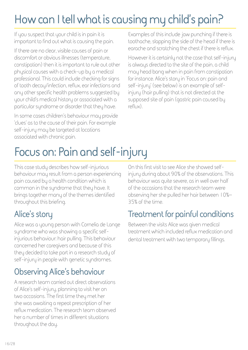## <span id="page-15-0"></span>**How can I tell what is causing my child's pain?**

If you suspect that your child is in pain it is important to find out what is causing the pain.

If there are no clear, visible causes of pain or discomfort or obvious illnesses (temperature, constipation) then it is important to rule out other physical causes with a check-up by a medical professional. This could include checking for signs of tooth decay/infection, reflux, ear infections and any other specific health problems suggested by your child's medical history or associated with a particular syndrome or disorder that they have.

In some cases children's behaviour may provide 'clues' as to the cause of their pain. For example self-injury may be targeted at locations associated with chronic pain.

Examples of this include jaw punching if there is toothache, slapping the side of the head if there is earache and scratching the chest if there is reflux.

However it is certainly not the case that self-injury is always directed to the site of the pain, a child may head bang when in pain from constipation for instance. Alice's story in 'Focus on: pain and self-injury' (see below) is an example of selfinjury (hair pulling) that is not directed at the supposed site of pain (gastric pain caused by reflux).

## **Focus on: Pain and self-injury**

This case study describes how self-injurious behaviour may result from a person experiencing pain caused by a health condition which is common in the syndrome that they have. It brings together many of the themes identified throughout this briefing.

### **Alice's story**

Alice was a young person with Cornelia de Lange syndrome who was showing a specific selfinjurious behaviour: hair pulling. This behaviour concerned her caregivers and because of this they decided to take part in a research study of self-injury in people with genetic syndromes.

#### **Observing Alice's behaviour**

A research team carried out direct observations of Alice's self-injury, planning to visit her on two occasions. The first time they met her she was awaiting a repeat prescription of her reflux medication. The research team observed her a number of times in different situations throughout the day.

On this first visit to see Alice she showed selfinjury during about 90% of the observations. This behaviour was quite severe, as in well over half of the occasions that the research team were observing her she pulled her hair between 10%– 35% of the time.

#### **Treatment for painful conditions**

Between the visits Alice was given medical treatment which included reflux medication and dental treatment with two temporary fillings.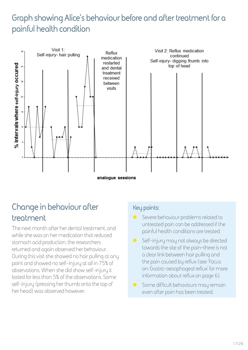#### **Graph showing Alice's behaviour before and after treatment for a painful health condition**



#### **Change in behaviour after treatment**

The next month after her dental treatment, and while she was on her medication that reduced stomach acid production, the researchers returned and again observed her behaviour. During this visit she showed no hair pulling at any point and showed no self-injury at all in 75% of observations. When she did show self-injury it lasted for less than 5% of the observations. Some self-injury (pressing her thumb onto the top of her head) was observed however.

#### **Key points:**

- Severe behaviour problems related to untreated pain can be addressed if the painful health conditions are treated.
- **O** Self-injury may not always be directed towards the site of the pain–there is not a clear link between hair pulling and the pain caused by reflux (see 'Focus on: Gastro-oesophageal reflux' for more information about reflux on page 6).
- **•** Some difficult behaviours may remain even after pain has been treated.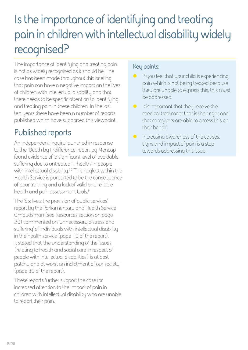## <span id="page-17-0"></span>**Is the importance of identifying and treating pain in children with intellectual disability widely recognised?**

The importance of identifying and treating pain is not as widely recognised as it should be. The case has been made throughout this briefing that pain can have a negative impact on the lives of children with intellectual disability and that there needs to be specific attention to identifying and treating pain in these children. In the last ten years there have been a number of reports published which have supported this viewpoint.

#### **Published reports**

An independent inquiry launched in response to the 'Death by Indifference' report by Mencap found evidence of 'a significant level of avoidable suffering due to untreated ill-health' in people with intellectual disability.<sup>76</sup> This neglect within the Health Service is purported to be the consequence of poor training and a lack of valid and reliable health and pain assessment tools.9

The 'Six lives: the provision of public services' report by the Parliamentary and Health Service Ombudsman (see Resources section on page 20) commented on 'unnecessary distress and suffering' of individuals with intellectual disability in the health service (page 10 of the report). It stated that 'the understanding of the issues [relating to health and social care in respect of people with intellectual disabilities] is at best patchy and at worst an indictment of our society' (page 30 of the report).

These reports further support the case for increased attention to the impact of pain in children with intellectual disability who are unable to report their pain.

#### **Key points:**

- $\bullet$  If you feel that your child is experiencing pain which is not being treated because they are unable to express this, this must be addressed.
- $\bullet$  It is important that they receive the medical treatment that is their right and that caregivers are able to access this on their behalf.
- $\bullet$  Increasing awareness of the causes, signs and impact of pain is a step towards addressing this issue.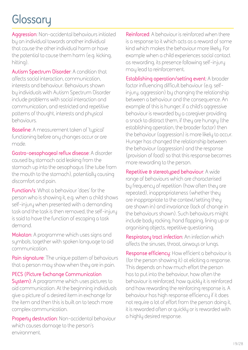## <span id="page-18-0"></span>**Glossary**

**Aggression**: Non-accidental behaviours initiated by an individual towards another individual that cause the other individual harm or have the potential to cause them harm (e.g. kicking, hitting).

**Autism Spectrum Disorder**: A condition that affects social interaction, communication, interests and behaviour. Behaviours shown by individuals with Autism Spectrum Disorder include problems with social interaction and communication, and restricted and repetitive patterns of thought, interests and physical behaviours.

**Baseline**: A measurement taken of 'typical' functioning before any changes occur or are made.

**Gastro-oesophageal reflux disease**: A disorder caused by stomach acid leaking from the stomach up into the oesophagus (the tube from the mouth to the stomach), potentially causing discomfort and pain.

**Function/s**: What a behaviour 'does' for the person who is showing it, e.g. when a child shows self-injury when presented with a demanding task and the task is then removed, the self-injury is said to have the function of escaping a task demand.

**Makaton**: A programme which uses signs and symbols, together with spoken language to aid communication.

**Pain signature**: The unique pattern of behaviours that a person may show when they are in pain.

**PECS (Picture Exchange Communication System)**: A programme which uses pictures to aid communication. At the beginning individuals give a picture of a desired item in exchange for the item and then this is built on to teach more complex communication.

**Property destruction**: Non-accidental behaviour which causes damage to the person's environment.

**Reinforced**: A behaviour is reinforced when there is a response to it which acts as a reward of some kind which makes the behaviour more likely. For example when a child experiences social contact as rewarding, its presence following self-injury may lead to reinforcement.

**Establishing operation/setting event**: A broader factor influencing difficult behaviour (e.g. selfinjury, aggression) by changing the relationship between a behaviour and the consequence. An example of this is hunger; if a child's aggressive behaviour is rewarded by a caregiver providing a snack to distract them, if they are hungry (the establishing operation, the broader factor) then the behaviour (aggression) is more likely to occur. Hunger has changed the relationship between the behaviour (aggression) and the response (provision of food) so that this response becomes more rewarding to the person.

**Repetitive & stereotyped behaviour**: A wide range of behaviours which are characterised by frequency of repetition (how often they are repeated), inappropriateness (whether they are inappropriate to the context/setting they are shown in) and invariance (lack of change in the behaviours shown). Such behaviours might include body rocking, hand flapping, lining up or organising objects, repetitive questioning.

**Respiratory tract infection**: An infection which affects the sinuses, throat, airways or lungs.

**Response efficiency**: How efficient a behaviour is (for the person showing it) at eliciting a response. This depends on how much effort the person has to put into the behaviour, how often the behaviour is reinforced, how quickly it is reinforced and how rewarding the reinforcing response is. A behaviour has high response efficiency if it does not require a lot of effort from the person doing it, it is rewarded often or quickly or is rewarded with a highly desired response.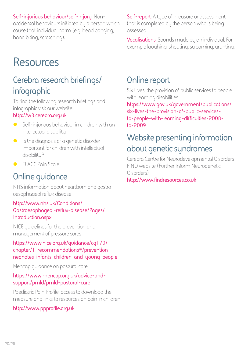#### <span id="page-19-0"></span>**Self-injurious behaviour/self-injury**: Non-

accidental behaviours initiated by a person which cause that individual harm (e.g. head banging, hand biting, scratching).

#### **Self-report**: A type of measure or assessment that is completed by the person who is being assessed.

**Vocalisations**: Sounds made by an individual. For example laughing, shouting, screaming, grunting.

### **Resources**

### **Cerebra research briefings/ infographic**

To find the following research briefings and infographic visit our website:

#### **[http://w3.cerebra.org.uk](http://w3.cerebra.org.uk/research)**

- $\bullet$  Self-injurious behaviour in children with an intellectual disability
- $\bullet$  Is the diagnosis of a genetic disorder important for children with intellectual disability?
- **FLACC Pain Scale**

#### **Online guidance**

NHS information about heartburn and gastrooesophageal reflux disease

#### **[http://www.nhs.uk/Conditions/](http://www.nhs.uk/Conditions/Gastroesophageal-reflux-disease/Pages/Introduction.aspx) [Gastroesophageal-reflux-disease/Pages/](http://www.nhs.uk/Conditions/Gastroesophageal-reflux-disease/Pages/Introduction.aspx) [Introduction.aspx](http://www.nhs.uk/Conditions/Gastroesophageal-reflux-disease/Pages/Introduction.aspx)**

NICE guidelines for the prevention and management of pressure sores

#### **[https://www.nice.org.uk/guidance/cg179/](https://www.nice.org.uk/guidance/cg179/chapter/1-recommendations#/prevention-neonates-infants-children-and-young-people) [chapter/1-recommendations#/prevention](https://www.nice.org.uk/guidance/cg179/chapter/1-recommendations#/prevention-neonates-infants-children-and-young-people)[neonates-infants-children-and-young-people](https://www.nice.org.uk/guidance/cg179/chapter/1-recommendations#/prevention-neonates-infants-children-and-young-people)**

Mencap guidance on postural care

#### **[https://www.mencap.org.uk/advice-and](https://www.mencap.org.uk/advice-and-support/pmld/pmld-postural-care)[support/pmld/pmld-postural-care](https://www.mencap.org.uk/advice-and-support/pmld/pmld-postural-care)**

Paediatric Pain Profile, access to download the measure and links to resources on pain in children

#### **<http://www.ppprofile.org.uk>**

#### **Online report**

Six Lives: the provision of public services to people with learning disabilities

**[https://www.gov.uk/government/publications/](https://www.gov.uk/government/publications/six-lives-the-provision-of-public-services-to-people-with-learning-difficulties-2008-to-2009) [six-lives-the-provision-of-public-services](https://www.gov.uk/government/publications/six-lives-the-provision-of-public-services-to-people-with-learning-difficulties-2008-to-2009)[to-people-with-learning-difficulties-2008](https://www.gov.uk/government/publications/six-lives-the-provision-of-public-services-to-people-with-learning-difficulties-2008-to-2009) [to-2009](https://www.gov.uk/government/publications/six-lives-the-provision-of-public-services-to-people-with-learning-difficulties-2008-to-2009)**

#### **Website presenting information about genetic syndromes**

Cerebra Centre for Neurodevelopmental Disorders FIND website (Further Inform Neurogenetic Disorders)

#### **<http://www.findresources.co.uk>**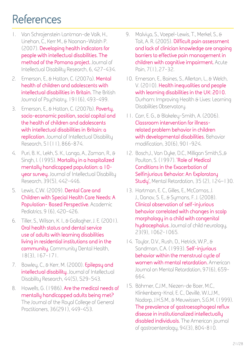## <span id="page-20-0"></span>**References**

- 1. Van Schrojenstein Lantman-de Valk, H., Linehan, C., Kerr M., & Noonan-Walsh P. (2007). **Developing health indicators for people with intellectual disabilities. The method of the Pomona project.** Journal of Intellectual Disability Research, 6, 427-434.
- 2. Emerson, E., & Hatton, C. (2007a). **Mental health of children and adolescents with intellectual disabilities in Britain.** The British Journal of Psychiatry, 191(6), 493-499.
- 3. Emerson, E., & Hatton, C. (2007b). **Poverty, socio-economic position, social capital and the health of children and adolescents with intellectual disabilities in Britain: a replication.** Journal of Intellectual Disability Research, 51(11), 866-874.
- 4. Puri, B. K., Lekh, S. K., Langa, A., Zaman, R., & Singh, I. (1995). **Mortality in a hospitalized mentally handicapped population: a 10 year survey.** Journal of Intellectual Disability Research, 39(5), 442-446.
- 5. Lewis, C.W. (2009). **Dental Care and Children with Special Health Care Needs: A Population- Based Perspective.** Academic Pediatrics, 9 (6), 420-426.
- 6. Tiller, S., Wilson, K. I., & Gallagher, J. E. (2001). **Oral health status and dental service use of adults with learning disabilities living in residential institutions and in the community.** Community Dental Health, 18(3), 167-171.
- 7. Bowley, C., & Kerr, M. (2000). **Epilepsy and intellectual disability.** Journal of Intellectual Disability Research, 44(5), 529-543.
- 8. Howells, G. (1986). **Are the medical needs of mentally handicapped adults being met?** The Journal of the Royal College of General Practitioners, 36(291), 449-453.
- 9. Malviya, S., Voepel-Lewis, T., Merkel, S., & Tait, A. R. (2005). **Difficult pain assessment and lack of clinician knowledge are ongoing barriers to effective pain management in children with cognitive impairment.** Acute Pain, 7(1), 27-32.
- 10. Emerson, E., Baines, S., Allerton, L., & Welch, V. (2010). **Health inequalities and people with learning disabilities in the UK: 2010.** Durham: Improving Health & Lives: Learning Disabilities Observatory.
- 11. Carr, E. G., & Blakeley-Smith, A. (2006). **Classroom intervention for illnessrelated problem behavior in children with developmental disabilities.** Behavior modification, 30(6), 901-924.
- 12. Bosch,J., Van Dyke, D.C., Milligan Smith,S.,& Poulton, S. (1997). **'Role of Medical Conditions in the Exacerbation of Selfinjurious Behavior: An Exploratory Study',** Mental Retardation, 35 (2), 124–130.
- 13. Hartman, E. C., Gilles, E., McComas, J. J., Danov, S. E., & Symons, F. J. (2008). **Clinical observation of self-injurious behavior correlated with changes in scalp morphology in a child with congenital hydrocephalus.** Journal of child neurology, 23(9), 1062-1065.
- 14. Taylor, D.V., Rush, D., Hetrick, W.P., & Sandman, C.A. (1993). **Self-injurious behavior within the menstrual cycle of women with mental retardation.** American Journal on Mental Retardation, 97(6), 659- 664.
- 15. Böhmer, C.J.M., Niezen-de Boer, M.C., Klinkenberg-Knol, E. C., Devillé, W.L.J.M., Nadorp, J.H.S.M., & Meuwissen, S.G.M. (1999). **The prevalence of gastroesophageal reflux disease in institutionalized intellectually disabled individuals.** The American journal of gastroenterology, 94(3), 804-810.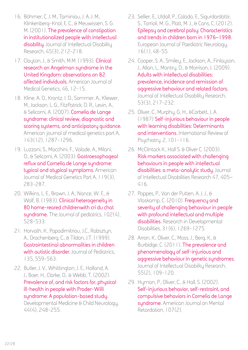- 16. Böhmer, C. J. M., Taminiau, J. A. J. M., Klinkenberg-Knol, E. C., & Meuwissen, S. G. M. (2001). **The prevalence of constipation in institutionalized people with intellectual disability.** Journal of Intellectual Disability Research, 45(3), 212-218.
- 17. Clayton, J., & Smith, M.M. (1993). **Clinical research on Angelman syndrome in the United Kingdom: observations on 82 affected individuals.** American Journal of Medical Genetics, 46, 12-15.
- 18. Kline, A. D., Krantz, I. D., Sommer, A., Kliewer, M., Jackson, L. G., FitzPatrick, D. R., Levin, A., & Selicorni, A. (2007). **Cornelia de Lange syndrome: clinical review, diagnostic and scoring systems, and anticipatory guidance.** American journal of medical genetics part A, 143(12), 1287-1296.
- 19. Luzzani, S., Macchini, F., Valade, A., Milani, D., & Selicorni, A. (2003). **Gastroesophageal reflux and Cornelia de Lange syndrome: typical and atypical symptoms.** American Journal of Medical Genetics Part A, 119(3), 283-287.
- 20. Wilkins, L. E., Brown, J. A., Nance, W. E., & Wolf, B. (1983). **Clinical heterogeneity in 80 home-reared childrenwith cri du chat syndrome.** The Journal of pediatrics, 102(4), 528-533.
- 21. Horvath, K., Papadimitriou, J.C., Rabsztyn, A., Drachenberg, C., & Tildon, J.T. (1999). **Gastrointestinal abnormalities in children with autistic disorder.** Journal of Pediatrics, 135, 559-563.
- 22. Butler, J. V., Whittington, J. E., Holland, A. J., Boer, H., Clarke, D., & Webb, T. (2002). **Prevalence of, and risk factors for, physical ill-health in people with Prader-Willi syndrome: A population-based study.** Developmental Medicine & Child Neurology, 44(4), 248-255.
- 23. Sellier, E., Uldall, P., Calado, E., Sigurdardottir, S., Torrioli, M. G., Platt, M. J., & Cans, C. (2012). **Epilepsy and cerebral palsy: Characteristics and trends in children born in 1976–1998.** European Journal of Paediatric Neurology, 16(1), 48-55.
- 24. Cooper, S. A., Smiley, E., Jackson, A., Finlayson, J., Allan, L., Mantry, D., & Morrison, J. (2009). **Adults with intellectual disabilities: prevalence, incidence and remission of aggressive behaviour and related factors.** Journal of Intellectual Disability Research, 53(3), 217-232.
- 25. Oliver, C., Murphy, G, H., &Corbett, J, A. (1987) **Self-injurious behaviour in people with learning disabilities: Determinants and interventions.** International Review of Psychiatry, 2, 101-116.
- 26. McClintock K., Hall S. & Oliver C. (2003). **Risk markers associated with challenging behaviours in people with intellectual disabilities: a meta-analytic study.** Journal of Intellectual Disabilities Research 47, 405– 416.
- 27. Poppes, P., Van der Putten, A. J. J., & Vlaskamp, C. (2010). **Frequency and severity of challenging behaviour in people with profound intellectual and multiple disabilities.** Research in Developmental Disabilities, 31(6), 1269-1275.
- 28. Arron, K., Oliver, C., Moss, J., Berg, K., & Burbidge, C. (2011). **The prevalence and phenomenology of self-injurious and aggressive behaviour in genetic syndromes.** Journal of Intellectual Disability Research, 55(2), 109-120.
- 29. Hyman, P., Oliver, C., & Hall, S. (2002). **Self-injurious behavior, self-restraint, and compulsive behaviors in Cornelia de Lange syndrome.** American Journal on Mental Retardation, 107(2).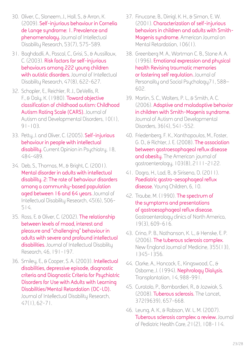- 30. Oliver, C., Sloneem, J., Hall, S., & Arron, K. (2009). **Self-injurious behaviour in Cornelia de Lange syndrome: 1. Prevalence and phenomenology.** Journal of Intellectual Disability Research, 53(7), 575-589.
- 31. Baghdadli, A., Pascal, C., Grisi, S., & Aussilloux, C. (2003). **Risk factors for self-injurious behaviours among 222 young children with autistic disorders.** Journal of Intellectual Disability Research, 47(8), 622-627.
- 32. Schopler, E., Reichler, R. J., DeVellis, R. F., & Daly, K. (1980). **Toward objective classification of childhood autism: Childhood Autism Rating Scale (CARS).** Journal of Autism and Developmental Disorders, 10(1),  $91 - 103.$
- 33. Petty, J. and Oliver, C. (2005). **Self-injurious behaviour in people with intellectual disability.** Current Opinion in Psychiatry, 18, 484-489.
- 34. Deb, S., Thomas, M., & Bright, C. (2001). **Mental disorder in adults with intellectual disability. 2: The rate of behaviour disorders among a community-based population aged between 16 and 64 years.** Journal of Intellectual Disability Research, 45(6), 506- 514.
- 35. Ross, E. & Oliver, C. (2002). **The relationship between levels of mood, interest and pleasure and "challenging" behaviour in adults with severe and profound intellectual disabilities.** Journal of Intellectual Disability Research, 46, 191-197.
- 36. Smiley, E., & Cooper, S. A. (2003). **Intellectual disabilities, depressive episode, diagnostic criteria and Diagnostic Criteria for Psychiatric Disorders for Use with Adults with Learning Disabilities/Mental Retardation (DC-LD).**  Journal of Intellectual Disability Research, 47(1), 62-71.
- 37. Finucane, B., Dirrigl, K. H., & Simon, E. W. (2001). **Characterization of self-injurious behaviors in children and adults with Smith-Magenis syndrome.** American Journal on Mental Retardation, 106(1).
- 38. Greenberg M. A., Wortman C. B., Stone A. A. (1996). **Emotional expression and physical health Revising traumatic memories or fostering self regulation.** Journal of Personality and Social Psychology71, 588– 602.
- 39. Martin, S. C., Wolters, P. L., & Smith, A. C. (2006). **Adaptive and maladaptive behavior in children with Smith-Magenis syndrome.**  Journal of Autism and Developmental Disorders, 36(4), 541-552.
- 40. Friedenberg, F. K., Xanthopoulos, M., Foster, G. D., & Richter, J. E. (2008). **The association between gastroesophageal reflux disease and obesity.** The American journal of gastroenterology, 103(8), 2111-2122.
- 41. Dogra, H., Lad, B., & Sirisena, D. (2011). **Paediatric gastro-oesophageal reflux disease.** Young Children, 6, 10.
- 42. Traube, M. (1990). **The spectrum of the symptoms and presentations of gastroesophageal reflux disease.**  Gastroenterology clinics of North America, 19(3), 609-616.
- 43. Crino, P. B., Nathanson, K. L., & Henske, E. P. (2006). **The tuberous sclerosis complex.**  New England Journal of Medicine, 355(13), 1345-1356.
- 44. Clarke, A., Hancock, E., Kingswood, C., & Osborne, J. (1994). **Nephrology Dialysis.**  Transplantation, 14, 988-991.
- 45. Curatolo, P., Bombardieri, R., & Jozwiak, S. (2008). **Tuberous sclerosis.** The Lancet, 372(9639), 657-668.
- 46. Leung, A. K., & Robson, W. L. M. (2007). **Tuberous sclerosis complex: a review.** Journal of Pediatric Health Care, 21(2), 108-114.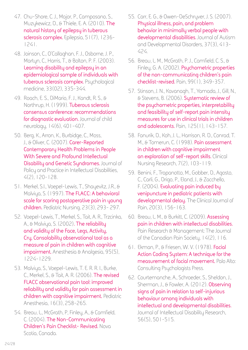- 47. Chu-Shore, C. J., Major, P., Camposano, S., Muzykewicz, D., & Thiele, E. A. (2010). **The natural history of epilepsy in tuberous sclerosis complex.** Epilepsia, 51(7), 1236- 1241.
- 48. Joinson, C., O'Callaghan, F. J., Osborne, J. P., Martyn, C., Harris, T., & Bolton, P. F. (2003). **Learning disability and epilepsy in an epidemiological sample of individuals with tuberous sclerosis complex.** Psychological medicine, 33(02), 335-344.
- 49. Roach, E. S., DiMario, F. J., Kandt, R. S., & Northrup, H. (1999). **Tuberous sclerosis consensus conference: recommendations for diagnostic evaluation.** Journal of child neurology, 14(6), 401-407.
- 50. Berg, K., Arron, K., Burbidge, C., Moss, J., & Oliver, C. (2007). **Carer-Reported Contemporary Health Problems in People With Severe and Profound Intellectual Disability and Genetic Syndromes.** Journal of Policy and Practice in Intellectual Disabilities, 4(2), 120-128.
- 51. Merkel, S.I., Voepel-Lewis, T., Shayevitz, J.R., & Malviya, S. (1997). **The FLACC: A behavioral scale for scoring postoperative pain in young children.** Pediatric Nursing, 23(3), 293- 297.
- 52. Voepel-Lewis, T., Merkel, S., Tait, A. R., Trzcinka, A., & Malviya, S. (2002)**. The reliability and validity of the Face, Legs, Activity, Cry, Consolability observational tool as a measure of pain in children with cognitive impairment.** Anesthesia & Analgesia, 95(5), 1224-1229.
- 53. Malviya, S., Voepel-Lewis, T. E. R. R. I., Burke, C., Merkel, S., & Tait, A. R. (2006). **The revised FLACC observational pain tool: improved reliability and validity for pain assessment in children with cognitive impairment.** Pediatric Anesthesia, 16(3), 258-265.
- 54. Breau, L., McGrath, P, Finley, A., & Camfield, C. (2004). **The Non-Communicating Children's Pain Checklist- Revised.** Nova Scotia, Canada.
- 55. Carr, E. G., & Owen-DeSchryver, J. S. (2007). **Physical illness, pain, and problem behavior in minimally verbal people with developmental disabilities.** Journal of Autism and Developmental Disorders, 37(3), 413- 424.
- 56. Breau, L. M., McGrath, P. J., Camfield, C. S., & Finley, G. A. (2002). **Psychometric properties of the non-communicating children's pain checklist-revised.** Pain, 99(1), 349-357.
- 57. Stinson, J. N., Kavanagh, T., Yamada, J., Gill, N., & Stevens, B. (2006). **Systematic review of the psychometric properties, interpretability and feasibility of self-report pain intensity measures for use in clinical trials in children and adolescents.** Pain, 125(1), 143-157.
- 58. Fanurik, D., Koh, J. L., Harrison, R. D., Conrad, T. M., & Tomerun, C. (1998). **Pain assessment in children with cognitive impairment an exploration of self-report skills.** Clinical Nursing Research, 7(2), 103-119.
- 59. Benini, F., Trapanotto, M., Gobber, D., Agosto, C., Carli, G., Drigo, P., Eland, J., & Zacchello, F. (2004). **Evaluating pain induced by venipuncture in pediatric patients with developmental delay.** The Clinical Journal of Pain, 20(3), 156-163.
- 60. Breau, L. M., & Burkitt, C. (2009). **Assessing pain in children with intellectual disabilities.**  Pain Research & Management: The Journal of the Canadian Pain Society, 14(2), 116.
- 61. Ekman, P., & Friesen, W. V. (1978). **Facial Action Coding System: A technique for the measurement of facial movement.** Palo Alto: Consulting Psychologists Press.
- 62. Courtemanche, A., Schroeder, S., Sheldon, J., Sherman, J., & Fowler, A. (2012). **Observing signs of pain in relation to self-injurious behaviour among individuals with intellectual and developmental disabilities.**  Journal of Intellectual Disability Research, 56(5), 501-515.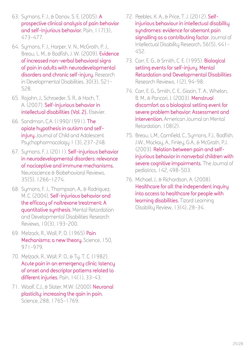- 63. Symons, F. J., & Danov, S. E. (2005). **A prospective clinical analysis of pain behavior and self-injurious behavior.** Pain, 117(3), 473-477.
- 64. Symons, F. J., Harper, V. N., McGrath, P. J., Breau, L. M., & Bodfish, J. W. (2009). **Evidence of increased non-verbal behavioral signs of pain in adults with neurodevelopmental disorders and chronic self-injury.** Research in Developmental Disabilities, 30(3), 521- 528.
- 65. Rojahn, J., Schroeder, S. R., & Hoch, T. A. (2007). **Self-injurious behavior in intellectual disabilities (Vol. 2).** Elsevier.
- 66. Sandman, C.A. (1990/1991). **The opiate hypothesis in autism and selfinjury.** Journal of Child and Adolescent Psychopharmacology 1 (3), 237-248.
- 67. Symons, F. J. (2011). **Self-injurious behavior in neurodevelopmental disorders: relevance of nociceptive and immune mechanisms.**  Neuroscience & Biobehavioral Reviews, 35(5), 1266-1274.
- 68. Symons, F. J., Thompson, A., & Rodriguez, M. C. (2004). **Self-injurious behavior and the efficacy of naltrexone treatment: A quantitative synthesis.** Mental Retardation and Developmental Disabilities Research Reviews, 10(3), 193-200.
- 69. Melzack, R., Wall, P, D. (1965) **Pain Mechanisms: a new theory.** Science, 150, 971-979.
- 70. Melzack, R., Wall, P. D., & Ty, T. C. (1982). **Acute pain in an emergency clinic: latency of onset and descriptor patterns related to**  different injuries. Pain, 14(1), 33-43.
- 71. Woolf, C.J., & Slater, M.W. (2000) **Neuronal plasticity: increasing the gain in pain.**  Science, 288, 1765-1769.
- 72. Peebles, K. A., & Price, T. J. (2012). **Selfinjurious behaviour in intellectual disability syndromes: evidence for aberrant pain signalling as a contributing factor.** Journal of Intellectual Disability Research, 56(5), 441- 452.
- 73. Carr, E. G., & Smith, C. E. (1995). **Biological setting events for self-injury. Mental Retardation and Developmental Disabilities**  Research Reviews, 1(2), 94-98.
- 74. Carr, E. G., Smith, C. E., Giacin, T. A., Whelan, B. M., & Pancari, J. (2003). **Menstrual discomfort as a biological setting event for severe problem behavior: Assessment and intervention.** American Journal on Mental Retardation, 108(2).
- 75. Breau, L.M., Camfield, C., Symons, F.J., Bodfish, J.W., Mackay, A., Finley, G.A., & McGrath, P.J. (2003). **Relation between pain and selfinjurious behavior in nonverbal children with severe cognitive impairments.** The Journal of pediatrics, 142, 498-503.
- 76. Michael, J., & Richardson, A. (2008). **Healthcare for all: the independent inquiry into access to healthcare for people with learning disabilities.** Tizard Learning Disability Review, 13(4), 28-34.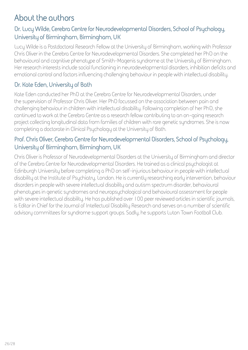#### **About the authors**

#### **Dr. Lucy Wilde, Cerebra Centre for Neurodevelopmental Disorders, School of Psychology, University of Birmingham, Birmingham, UK**

Lucy Wilde is a Postdoctoral Research Fellow at the University of Birmingham, working with Professor Chris Oliver in the Cerebra Centre for Neurodevelopmental Disorders. She completed her PhD on the behavioural and cognitive phenotype of Smith-Magenis syndrome at the University of Birmingham. Her research interests include social functioning in neurodevelopmental disorders, inhibition deficits and emotional control and factors influencing challenging behaviour in people with intellectual disability.

#### **Dr. Kate Eden, University of Bath**

Kate Eden conducted her PhD at the Cerebra Centre for Neurodevelopmental Disorders, under the supervision of Professor Chris Oliver. Her PhD focussed on the association between pain and challenging behaviour in children with intellectual disability. Following completion of her PhD, she continued to work at the Cerebra Centre as a research fellow contributing to an on-going research project collecting longitudinal data from families of children with rare genetic syndromes. She is now completing a doctorate in Clinical Psychology at the University of Bath.

#### **Prof. Chris Oliver, Cerebra Centre for Neurodevelopmental Disorders, School of Psychology, University of Birmingham, Birmingham, UK**

Chris Oliver is Professor of Neurodevelopmental Disorders at the University of Birmingham and director of the Cerebra Centre for Neurodevelopmental Disorders. He trained as a clinical psychologist at Edinburgh University before completing a PhD on self-injurious behaviour in people with intellectual disability at the Institute of Psychiatry, London. He is currently researching early intervention, behaviour disorders in people with severe intellectual disability and autism spectrum disorder, behavioural phenotypes in genetic syndromes and neuropsychological and behavioural assessment for people with severe intellectual disability. He has published over 100 peer reviewed articles in scientific journals, is Editor in Chief for the Journal of Intellectual Disability Research and serves on a number of scientific advisory committees for syndrome support groups. Sadly, he supports Luton Town Football Club.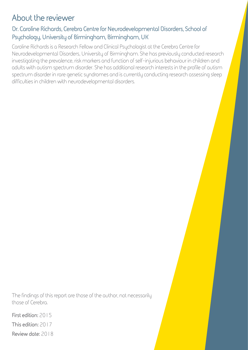#### **About the reviewer**

#### **Dr. Caroline Richards, Cerebra Centre for Neurodevelopmental Disorders, School of Psychology, University of Birmingham, Birmingham, UK**

Caroline Richards is a Research Fellow and Clinical Psychologist at the Cerebra Centre for Neurodevelopmental Disorders, University of Birmingham. She has previously conducted research investigating the prevalence, risk markers and function of self-injurious behaviour in children and adults with autism spectrum disorder. She has additional research interests in the profile of autism spectrum disorder in rare genetic syndromes and is currently conducting research assessing sleep difficulties in children with neurodevelopmental disorders.

The findings of this report are those of the author, not necessarily those of Cerebra.

**First edition:** 2015 **This edition:** 2017 **Review date:** 2018